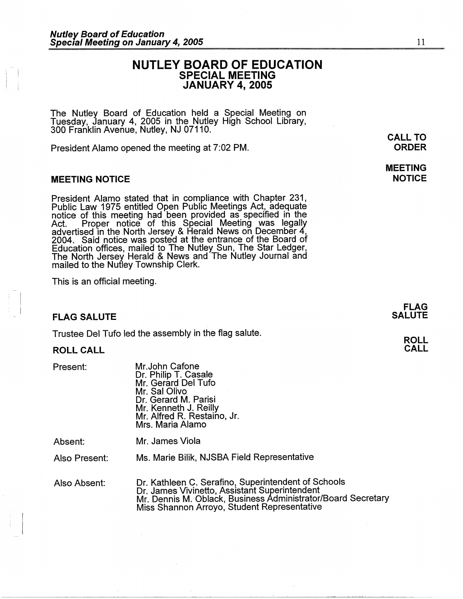# **NUTLEY BOARD OF EDUCATION SPECIAL MEETING JANUARY 4, 2005**

The Nutley Board of Education held a Special Meeting on Tuesday, January 4, 2005 in the Nutley High School Library, 300 Franklin Avenue, Nutley, NJ 07110.

President Alamo opened the meeting at 7:02 PM.

## **MEETING NOTICE**

President Alamo stated that in compliance with Chapter 231, Public Law 1975 entitled Open Public Meetings Act, adequate notice of this meeting had been provided as specified in the Act. Proper notice of this Special Meeting was legally advertised in the North Jersey & Herald News on December 4, 2004. Said notice was posted at the entrance of the Board of<br>Education offices, mailed to The Nutley Sun, The Star Ledger, The North Jersey Herald & News and The Nutley Journal and mailed to the Nutley Township Clerk.

This is an official meeting.

## **FLAG SALUTE**

Trustee Del Tufo led the assembly in the flag salute.

#### **ROLL CALL**

Present:

-  $\mathbb{I}$  $\cdot$  i

> Mr.John Catone Dr. Philip T. Casale Mr. Gerard Del Tufo Mr. Sal Olivo Dr. Gerard M. Parisi Mr. Kenneth J. Reilly Mr. Alfred R. Restaino, Jr. Mrs. Maria Alamo

Absent:

Mr. James Viola

Also Present:

Ms. Marie Bilik, NJSBA Field Representative

Also Absent:

Dr. Kathleen C. Serafino, Superintendent of Schools Dr. James Vivinetto, Assistant Superintendent Mr. Dennis M. Oblack, Business Administrator/Board Secretary Miss Shannon Arroyo, Student Representative

**CALL TO ORDER** 

**MEETING NOTICE** 

**FLAG**